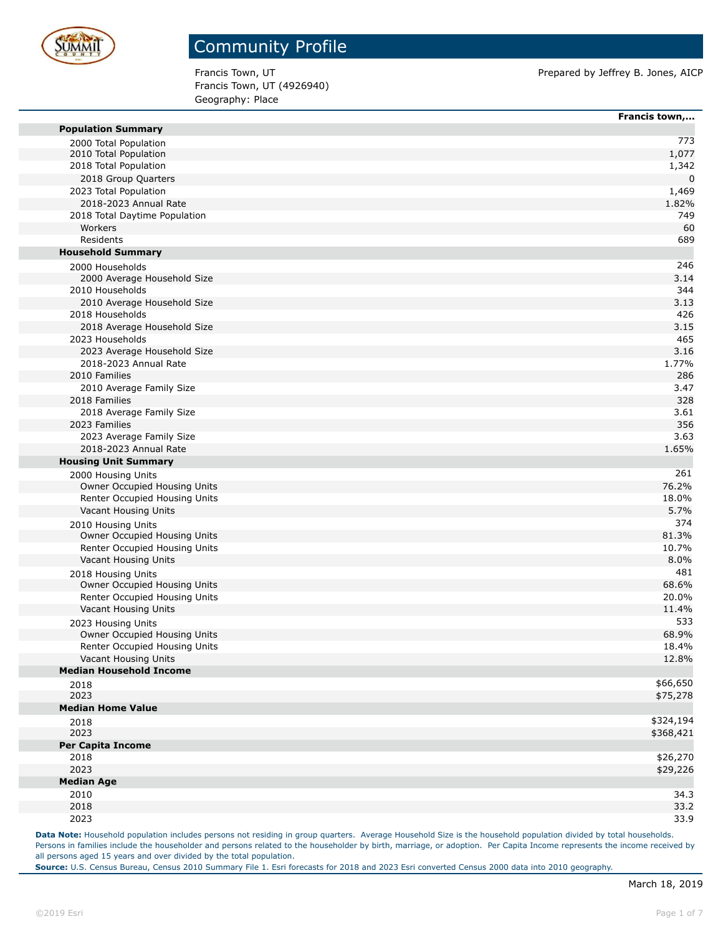

Francis Town, UT (4926940) Geography: Place

Francis Town, UT **Prepared by Jeffrey B. Jones, AICP** Prepared by Jeffrey B. Jones, AICP

|                                                        | Francis town, |
|--------------------------------------------------------|---------------|
| <b>Population Summary</b>                              |               |
| 2000 Total Population                                  | 773           |
| 2010 Total Population                                  | 1,077         |
| 2018 Total Population                                  | 1,342         |
| 2018 Group Quarters                                    | $\mathbf 0$   |
| 2023 Total Population                                  | 1,469         |
| 2018-2023 Annual Rate                                  | 1.82%         |
| 2018 Total Daytime Population                          | 749           |
| Workers                                                | 60            |
| Residents                                              | 689           |
| <b>Household Summary</b>                               |               |
| 2000 Households                                        | 246           |
| 2000 Average Household Size                            | 3.14          |
| 2010 Households                                        | 344           |
| 2010 Average Household Size                            | 3.13          |
| 2018 Households                                        | 426           |
| 2018 Average Household Size                            | 3.15          |
| 2023 Households                                        | 465           |
| 2023 Average Household Size                            | 3.16          |
| 2018-2023 Annual Rate                                  | 1.77%         |
| 2010 Families                                          | 286           |
| 2010 Average Family Size                               | 3.47          |
| 2018 Families                                          | 328           |
| 2018 Average Family Size                               | 3.61          |
| 2023 Families                                          | 356           |
| 2023 Average Family Size                               | 3.63          |
| 2018-2023 Annual Rate                                  | 1.65%         |
| <b>Housing Unit Summary</b>                            |               |
| 2000 Housing Units                                     | 261           |
| Owner Occupied Housing Units                           | 76.2%         |
| Renter Occupied Housing Units                          | 18.0%         |
| Vacant Housing Units                                   | 5.7%          |
| 2010 Housing Units                                     | 374           |
| Owner Occupied Housing Units                           | 81.3%         |
| Renter Occupied Housing Units                          | 10.7%         |
| Vacant Housing Units                                   | 8.0%          |
| 2018 Housing Units                                     | 481           |
| Owner Occupied Housing Units                           | 68.6%         |
| Renter Occupied Housing Units                          | 20.0%         |
| Vacant Housing Units                                   | 11.4%         |
| 2023 Housing Units                                     | 533           |
| Owner Occupied Housing Units                           | 68.9%         |
| Renter Occupied Housing Units                          | 18.4%         |
| Vacant Housing Units<br><b>Median Household Income</b> | 12.8%         |
|                                                        | \$66,650      |
| 2018<br>2023                                           | \$75,278      |
| <b>Median Home Value</b>                               |               |
|                                                        | \$324,194     |
| 2018<br>2023                                           | \$368,421     |
| Per Capita Income                                      |               |
| 2018                                                   | \$26,270      |
| 2023                                                   | \$29,226      |
| <b>Median Age</b>                                      |               |
| 2010                                                   | 34.3          |
| 2018                                                   | 33.2          |
| 2023                                                   | 33.9          |
|                                                        |               |

Data Note: Household population includes persons not residing in group quarters. Average Household Size is the household population divided by total households. Persons in families include the householder and persons related to the householder by birth, marriage, or adoption. Per Capita Income represents the income received by all persons aged 15 years and over divided by the total population.

**Source:** U.S. Census Bureau, Census 2010 Summary File 1. Esri forecasts for 2018 and 2023 Esri converted Census 2000 data into 2010 geography.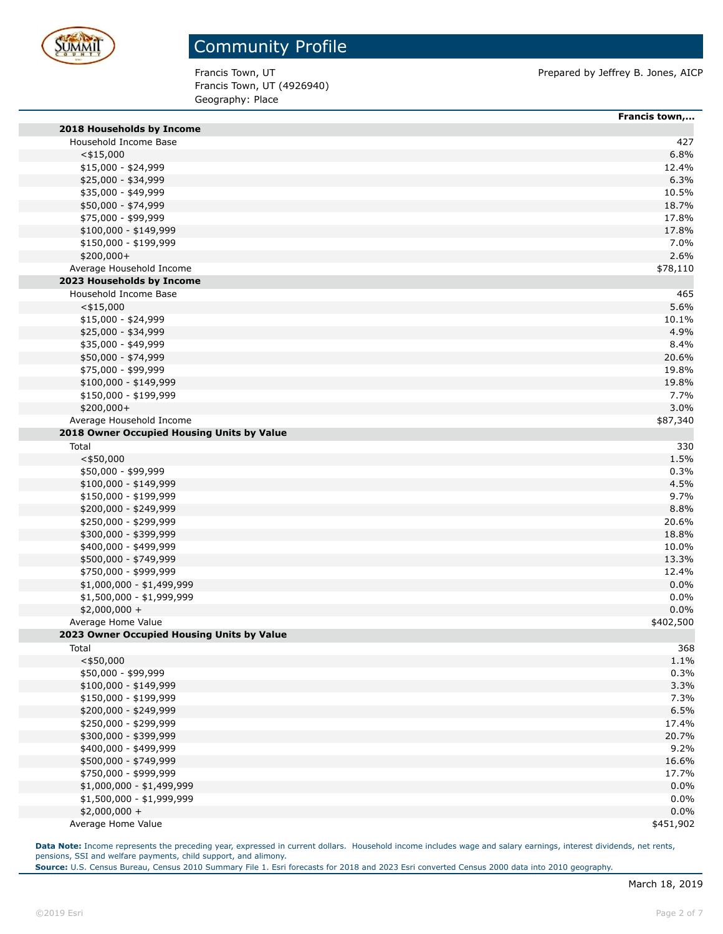

Francis Town, UT (4926940) Geography: Place

Francis Town, UT **Prepared by Jeffrey B. Jones, AICP** 

|                                            | Francis town, |
|--------------------------------------------|---------------|
| 2018 Households by Income                  |               |
| Household Income Base                      | 427           |
| $<$ \$15,000                               | 6.8%          |
| \$15,000 - \$24,999                        | 12.4%         |
| \$25,000 - \$34,999                        | 6.3%          |
| \$35,000 - \$49,999                        | 10.5%         |
| \$50,000 - \$74,999                        | 18.7%         |
| \$75,000 - \$99,999                        | 17.8%         |
| $$100,000 - $149,999$                      | 17.8%         |
| \$150,000 - \$199,999                      | 7.0%          |
| \$200,000+                                 | 2.6%          |
| Average Household Income                   | \$78,110      |
| 2023 Households by Income                  |               |
| Household Income Base                      | 465           |
| $<$ \$15,000                               | 5.6%          |
| $$15,000 - $24,999$                        | 10.1%         |
| \$25,000 - \$34,999                        | 4.9%          |
| \$35,000 - \$49,999                        | 8.4%          |
| \$50,000 - \$74,999                        | 20.6%         |
| \$75,000 - \$99,999                        | 19.8%         |
| $$100,000 - $149,999$                      | 19.8%         |
| \$150,000 - \$199,999                      | 7.7%          |
| \$200,000+                                 | 3.0%          |
| Average Household Income                   | \$87,340      |
| 2018 Owner Occupied Housing Units by Value |               |
| Total                                      | 330           |
| $<$ \$50,000                               | 1.5%          |
| \$50,000 - \$99,999                        | 0.3%          |
| $$100,000 - $149,999$                      | 4.5%          |
| \$150,000 - \$199,999                      | 9.7%          |
| \$200,000 - \$249,999                      | 8.8%          |
| \$250,000 - \$299,999                      | 20.6%         |
| \$300,000 - \$399,999                      | 18.8%         |
| \$400,000 - \$499,999                      | 10.0%         |
| \$500,000 - \$749,999                      | 13.3%         |
| \$750,000 - \$999,999                      | 12.4%         |
| \$1,000,000 - \$1,499,999                  | 0.0%          |
| \$1,500,000 - \$1,999,999                  | 0.0%          |
| $$2,000,000 +$                             | 0.0%          |
| Average Home Value                         | \$402,500     |
| 2023 Owner Occupied Housing Units by Value |               |
| Total                                      | 368           |
| $<$ \$50,000                               | 1.1%          |
| \$50,000 - \$99,999                        | 0.3%          |
| $$100,000 - $149,999$                      | 3.3%          |
| \$150,000 - \$199,999                      | 7.3%          |
| \$200,000 - \$249,999                      | 6.5%          |
| \$250,000 - \$299,999                      | 17.4%         |
| \$300,000 - \$399,999                      | 20.7%         |
| \$400,000 - \$499,999                      | 9.2%          |
| \$500,000 - \$749,999                      | 16.6%         |
| \$750,000 - \$999,999                      | 17.7%         |
| \$1,000,000 - \$1,499,999                  | 0.0%          |
| \$1,500,000 - \$1,999,999                  | 0.0%          |
| $$2,000,000 +$                             | 0.0%          |
| Average Home Value                         | \$451,902     |

**Data Note:** Income represents the preceding year, expressed in current dollars. Household income includes wage and salary earnings, interest dividends, net rents, pensions, SSI and welfare payments, child support, and alimony.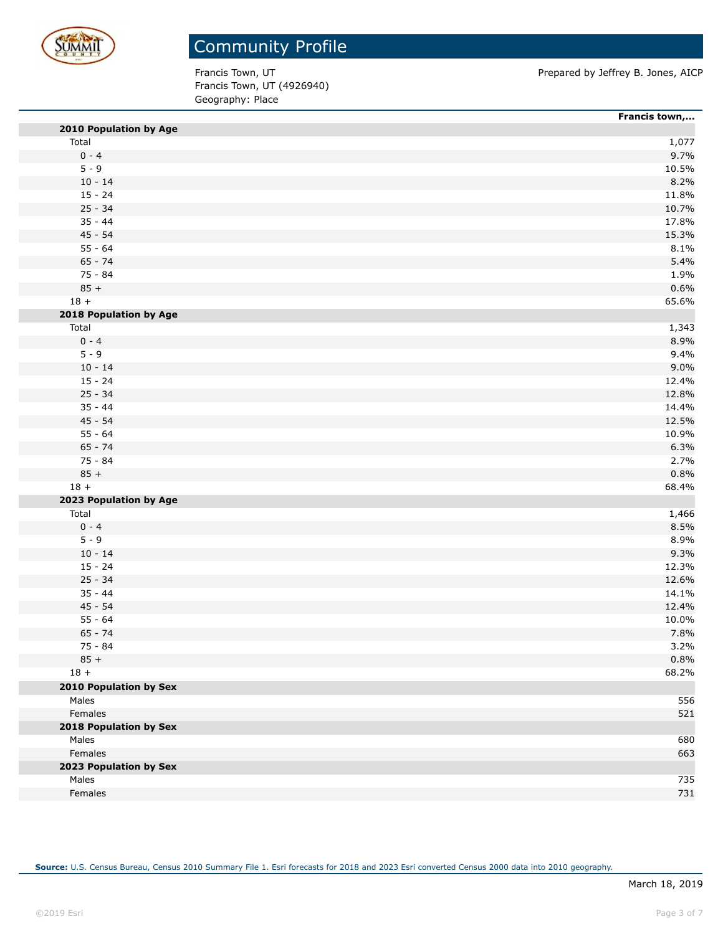

Francis Town, UT (4926940) Geography: Place

Francis Town, UT **Prepared by Jeffrey B. Jones, AICP** 

|                               | Francis town, |
|-------------------------------|---------------|
| 2010 Population by Age        |               |
| Total                         | 1,077         |
| $0 - 4$                       | 9.7%          |
| $5 - 9$                       | 10.5%         |
| $10 - 14$                     | 8.2%          |
| $15 - 24$                     | 11.8%         |
| $25 - 34$                     | 10.7%         |
| $35 - 44$                     | 17.8%         |
| $45 - 54$                     | 15.3%         |
| $55 - 64$                     | 8.1%          |
| $65 - 74$                     | 5.4%          |
| $75 - 84$                     | 1.9%          |
| $85 +$                        | 0.6%          |
| $18 +$                        | 65.6%         |
| 2018 Population by Age        |               |
| Total                         | 1,343         |
| $0 - 4$                       | 8.9%          |
| $5 - 9$                       | 9.4%          |
| $10 - 14$                     | 9.0%          |
| $15 - 24$                     | 12.4%         |
| $25 - 34$                     | 12.8%         |
| $35 - 44$                     | 14.4%         |
| $45 - 54$                     | 12.5%         |
| $55 - 64$                     | 10.9%         |
| $65 - 74$                     | 6.3%          |
| 75 - 84                       | 2.7%          |
| $85 +$                        | 0.8%          |
| $18 +$                        | 68.4%         |
| 2023 Population by Age        |               |
| Total                         | 1,466         |
| $0 - 4$                       | 8.5%          |
| $5 - 9$                       | 8.9%          |
| $10 - 14$                     | 9.3%          |
| $15 - 24$                     | 12.3%         |
| $25 - 34$                     | 12.6%         |
| $35 - 44$                     | 14.1%         |
| $45 - 54$                     | 12.4%         |
| $55 - 64$                     | 10.0%         |
| $65 - 74$                     | 7.8%          |
| 75 - 84                       | 3.2%          |
| $85 +$                        | 0.8%          |
| $18 +$                        | 68.2%         |
| <b>2010 Population by Sex</b> |               |
| Males                         | 556           |
| Females                       | 521           |
| 2018 Population by Sex        |               |
| Males                         | 680           |
| Females                       | 663           |
| 2023 Population by Sex        |               |
|                               |               |
| Males                         | 735           |
| Females                       | 731           |

**Source:** U.S. Census Bureau, Census 2010 Summary File 1. Esri forecasts for 2018 and 2023 Esri converted Census 2000 data into 2010 geography.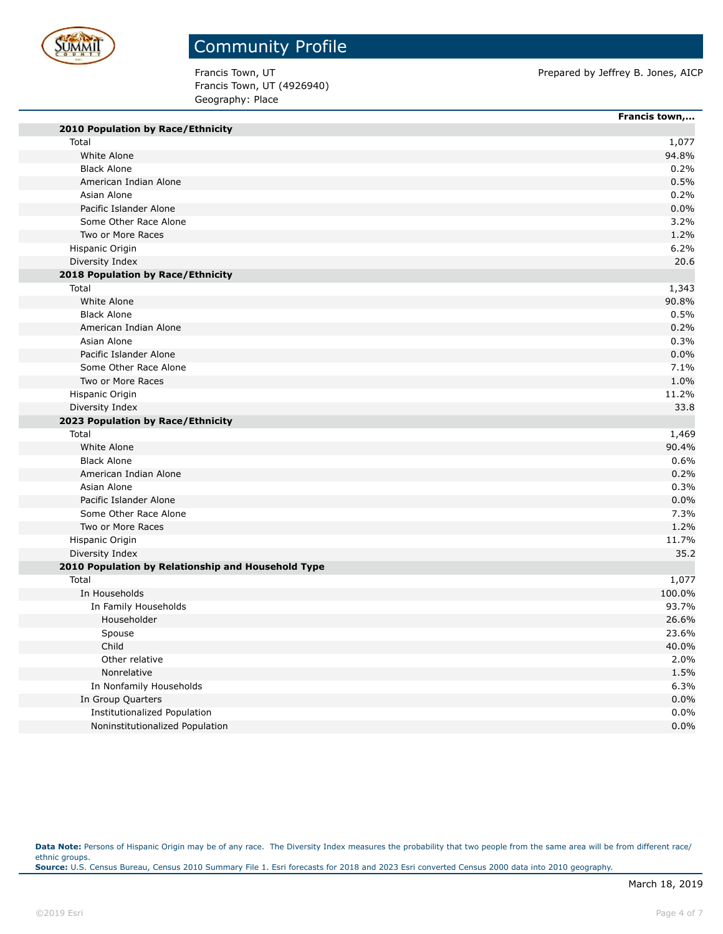

# Community Profile

Francis Town, UT (4926940) Geography: Place

Francis Town, UT **Prepared by Jeffrey B. Jones, AICP** 

|                                                    | Francis town, |
|----------------------------------------------------|---------------|
| 2010 Population by Race/Ethnicity                  |               |
| Total                                              | 1,077         |
| White Alone                                        | 94.8%         |
| <b>Black Alone</b>                                 | 0.2%          |
| American Indian Alone                              | 0.5%          |
| Asian Alone                                        | 0.2%          |
| Pacific Islander Alone                             | 0.0%          |
| Some Other Race Alone                              | 3.2%          |
| Two or More Races                                  | 1.2%          |
| Hispanic Origin                                    | 6.2%          |
| Diversity Index                                    | 20.6          |
| 2018 Population by Race/Ethnicity                  |               |
| Total                                              | 1,343         |
| White Alone                                        | 90.8%         |
| <b>Black Alone</b>                                 | 0.5%          |
| American Indian Alone                              | 0.2%          |
| Asian Alone                                        | 0.3%          |
| Pacific Islander Alone                             | 0.0%          |
| Some Other Race Alone                              | 7.1%          |
| Two or More Races                                  | 1.0%          |
| Hispanic Origin                                    | 11.2%         |
| Diversity Index                                    | 33.8          |
| 2023 Population by Race/Ethnicity                  |               |
| Total                                              | 1,469         |
| White Alone                                        | 90.4%         |
| <b>Black Alone</b>                                 | 0.6%          |
| American Indian Alone                              | 0.2%          |
| Asian Alone                                        | 0.3%          |
| Pacific Islander Alone                             | 0.0%          |
| Some Other Race Alone                              | 7.3%          |
| Two or More Races                                  | 1.2%          |
| Hispanic Origin                                    | 11.7%         |
| Diversity Index                                    | 35.2          |
| 2010 Population by Relationship and Household Type |               |
| Total                                              | 1,077         |
| In Households                                      | 100.0%        |
| In Family Households                               | 93.7%         |
| Householder                                        | 26.6%         |
| Spouse                                             | 23.6%         |
| Child                                              | 40.0%         |
| Other relative                                     | 2.0%          |
| Nonrelative                                        | 1.5%          |
| In Nonfamily Households                            | 6.3%          |
| In Group Quarters                                  | 0.0%          |
| Institutionalized Population                       | 0.0%          |
| Noninstitutionalized Population                    | 0.0%          |
|                                                    |               |

Data Note: Persons of Hispanic Origin may be of any race. The Diversity Index measures the probability that two people from the same area will be from different race/ ethnic groups. **Source:** U.S. Census Bureau, Census 2010 Summary File 1. Esri forecasts for 2018 and 2023 Esri converted Census 2000 data into 2010 geography.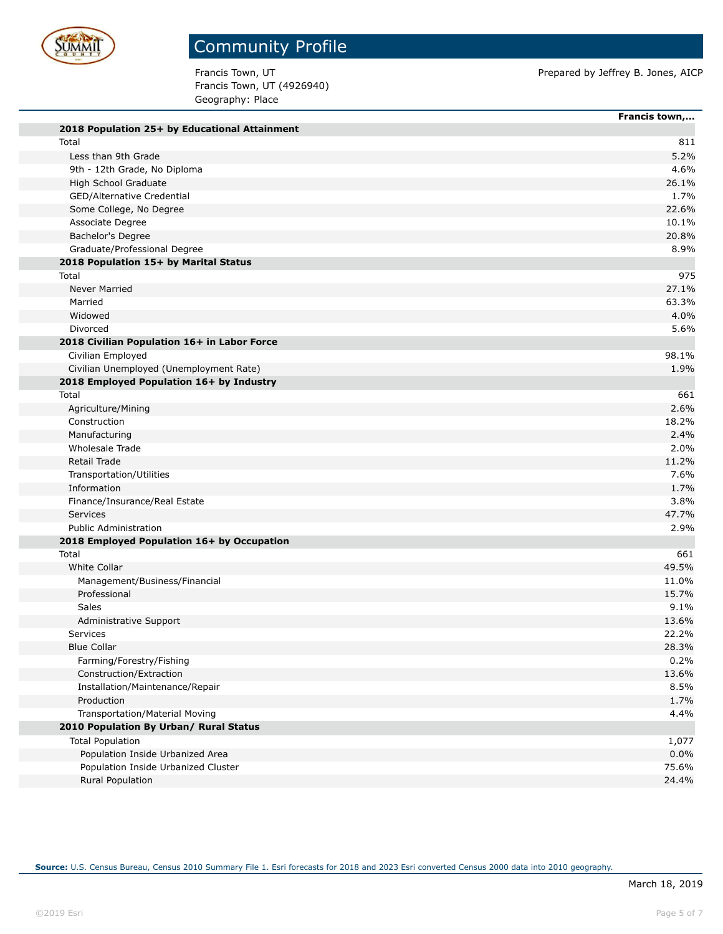

Francis Town, UT (4926940) Geography: Place

Francis Town, UT **Prepared by Jeffrey B. Jones, AICP** 

|                                               | Francis town,  |
|-----------------------------------------------|----------------|
| 2018 Population 25+ by Educational Attainment |                |
| Total                                         |                |
| Less than 9th Grade                           |                |
| 9th - 12th Grade, No Diploma                  |                |
| High School Graduate                          |                |
| GED/Alternative Credential                    |                |
| Some College, No Degree                       |                |
| Associate Degree                              |                |
| Bachelor's Degree                             |                |
| Graduate/Professional Degree                  |                |
| 2018 Population 15+ by Marital Status         |                |
| Total                                         |                |
| Never Married                                 |                |
| Married                                       |                |
| Widowed                                       |                |
| Divorced                                      |                |
| 2018 Civilian Population 16+ in Labor Force   |                |
| Civilian Employed                             |                |
| Civilian Unemployed (Unemployment Rate)       |                |
| 2018 Employed Population 16+ by Industry      |                |
| Total                                         |                |
| Agriculture/Mining                            |                |
| Construction                                  |                |
| Manufacturing                                 |                |
| Wholesale Trade                               |                |
| Retail Trade                                  |                |
| Transportation/Utilities                      |                |
| Information                                   |                |
| Finance/Insurance/Real Estate                 |                |
| <b>Services</b>                               |                |
| <b>Public Administration</b>                  |                |
| 2018 Employed Population 16+ by Occupation    |                |
| Total<br><b>White Collar</b>                  |                |
|                                               | 49.5%<br>11.0% |
| Management/Business/Financial<br>Professional | 15.7%          |
| Sales                                         |                |
| Administrative Support                        |                |
| <b>Services</b>                               |                |
| <b>Blue Collar</b>                            |                |
| Farming/Forestry/Fishing                      |                |
| Construction/Extraction                       |                |
| Installation/Maintenance/Repair               |                |
| Production                                    |                |
| Transportation/Material Moving                |                |
|                                               |                |
| 2010 Population By Urban/ Rural Status        |                |
| <b>Total Population</b>                       |                |
| Population Inside Urbanized Area              | 75.6%          |
| Population Inside Urbanized Cluster           |                |
| <b>Rural Population</b>                       |                |

**Source:** U.S. Census Bureau, Census 2010 Summary File 1. Esri forecasts for 2018 and 2023 Esri converted Census 2000 data into 2010 geography.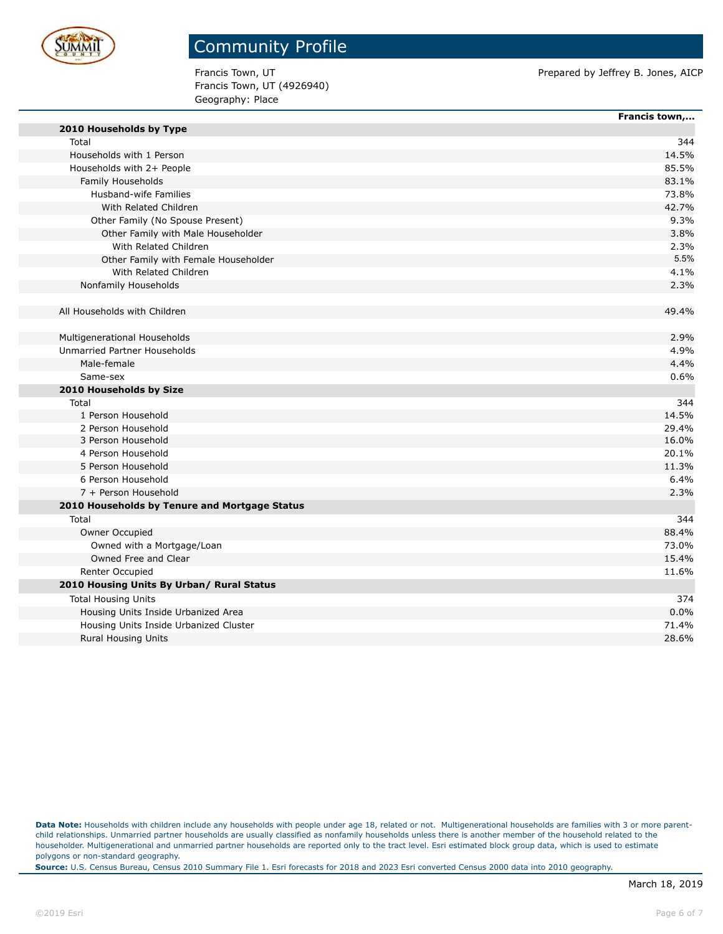

Francis Town, UT (4926940) Geography: Place

Francis Town, UT **Prepared by Jeffrey B. Jones, AICP** Prepared by Jeffrey B. Jones, AICP

|                                               | Francis town, |
|-----------------------------------------------|---------------|
| 2010 Households by Type                       |               |
| Total                                         | 344           |
| Households with 1 Person                      | 14.5%         |
| Households with 2+ People                     | 85.5%         |
| Family Households                             | 83.1%         |
| Husband-wife Families                         | 73.8%         |
| With Related Children                         | 42.7%         |
| Other Family (No Spouse Present)              | 9.3%          |
| Other Family with Male Householder            | 3.8%          |
| With Related Children                         | 2.3%          |
| Other Family with Female Householder          | 5.5%          |
| With Related Children                         | 4.1%          |
| Nonfamily Households                          | 2.3%          |
|                                               |               |
| All Households with Children                  | 49.4%         |
|                                               |               |
| Multigenerational Households                  | 2.9%          |
| Unmarried Partner Households                  | 4.9%          |
| Male-female                                   | 4.4%          |
| Same-sex                                      | 0.6%          |
| 2010 Households by Size                       |               |
| Total                                         | 344           |
| 1 Person Household                            | 14.5%         |
| 2 Person Household                            | 29.4%         |
| 3 Person Household                            | 16.0%         |
| 4 Person Household                            | 20.1%         |
| 5 Person Household                            | 11.3%         |
| 6 Person Household                            | 6.4%          |
| 7 + Person Household                          | 2.3%          |
| 2010 Households by Tenure and Mortgage Status |               |
| Total                                         | 344           |
| Owner Occupied                                | 88.4%         |
| Owned with a Mortgage/Loan                    | 73.0%         |
| Owned Free and Clear                          | 15.4%         |
| Renter Occupied                               | 11.6%         |
| 2010 Housing Units By Urban/ Rural Status     |               |
| <b>Total Housing Units</b>                    | 374           |
| Housing Units Inside Urbanized Area           | 0.0%          |
| Housing Units Inside Urbanized Cluster        | 71.4%         |
| <b>Rural Housing Units</b>                    | 28.6%         |

**Source:** U.S. Census Bureau, Census 2010 Summary File 1. Esri forecasts for 2018 and 2023 Esri converted Census 2000 data into 2010 geography.